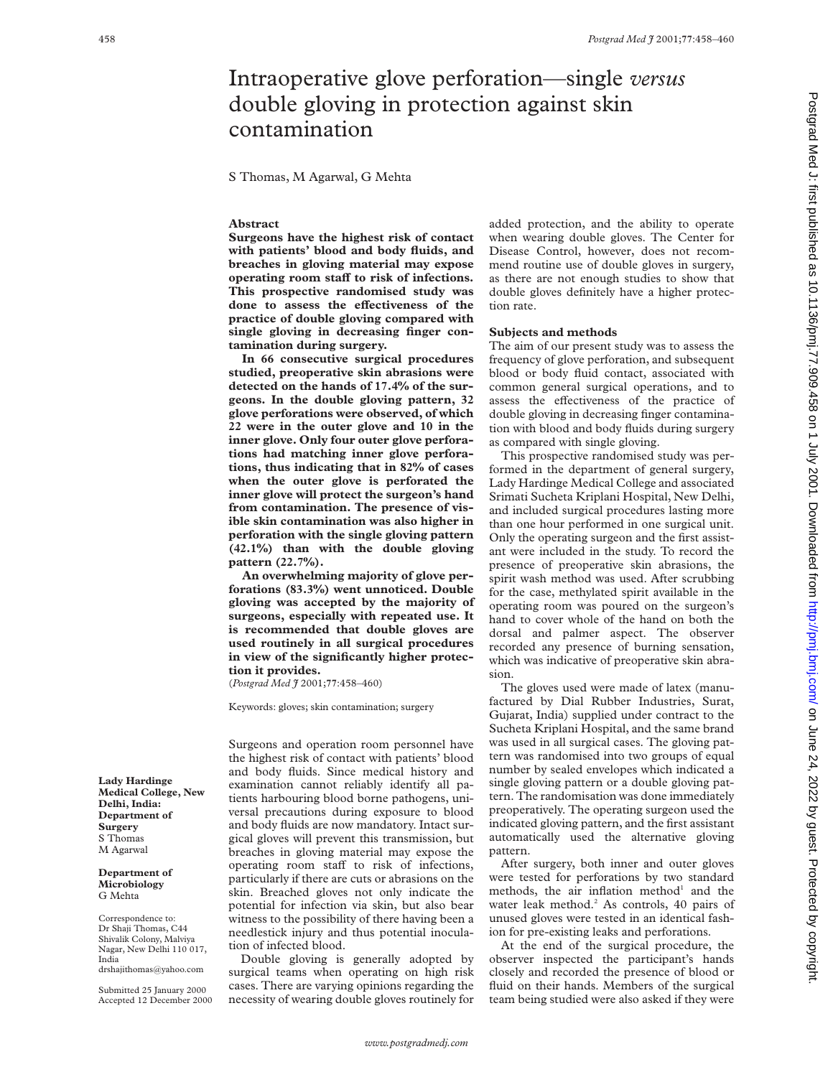# Intraoperative glove perforation—single *versus* double gloving in protection against skin contamination

S Thomas, M Agarwal, G Mehta

# **Abstract**

**Surgeons have the highest risk of contact with patients' blood and body fluids, and breaches in gloving material may expose operating room staV to risk of infections. This prospective randomised study was** done to assess the effectiveness of the **practice of double gloving compared with single gloving in decreasing finger contamination during surgery.**

**In 66 consecutive surgical procedures studied, preoperative skin abrasions were detected on the hands of 17.4% of the surgeons. In the double gloving pattern, 32 glove perforations were observed, of which 22 were in the outer glove and 10 in the inner glove. Only four outer glove perforations had matching inner glove perforations, thus indicating that in 82% of cases when the outer glove is perforated the inner glove will protect the surgeon's hand from contamination. The presence of visible skin contamination was also higher in perforation with the single gloving pattern (42.1%) than with the double gloving pattern (22.7%).**

**An overwhelming majority of glove perforations (83.3%) went unnoticed. Double gloving was accepted by the majority of surgeons, especially with repeated use. It is recommended that double gloves are used routinely in all surgical procedures in view of the significantly higher protection it provides.**

(*Postgrad Med J* 2001;**77**:458–460)

Keywords: gloves; skin contamination; surgery

Surgeons and operation room personnel have the highest risk of contact with patients' blood and body fluids. Since medical history and examination cannot reliably identify all patients harbouring blood borne pathogens, universal precautions during exposure to blood and body fluids are now mandatory. Intact surgical gloves will prevent this transmission, but breaches in gloving material may expose the operating room staff to risk of infections, particularly if there are cuts or abrasions on the skin. Breached gloves not only indicate the potential for infection via skin, but also bear witness to the possibility of there having been a needlestick injury and thus potential inoculation of infected blood.

Double gloving is generally adopted by surgical teams when operating on high risk cases. There are varying opinions regarding the necessity of wearing double gloves routinely for added protection, and the ability to operate when wearing double gloves. The Center for Disease Control, however, does not recommend routine use of double gloves in surgery, as there are not enough studies to show that double gloves definitely have a higher protection rate.

#### **Subjects and methods**

The aim of our present study was to assess the frequency of glove perforation, and subsequent blood or body fluid contact, associated with common general surgical operations, and to assess the effectiveness of the practice of double gloving in decreasing finger contamination with blood and body fluids during surgery as compared with single gloving.

This prospective randomised study was performed in the department of general surgery, Lady Hardinge Medical College and associated Srimati Sucheta Kriplani Hospital, New Delhi, and included surgical procedures lasting more than one hour performed in one surgical unit. Only the operating surgeon and the first assistant were included in the study. To record the presence of preoperative skin abrasions, the spirit wash method was used. After scrubbing for the case, methylated spirit available in the operating room was poured on the surgeon's hand to cover whole of the hand on both the dorsal and palmer aspect. The observer recorded any presence of burning sensation, which was indicative of preoperative skin abrasion.

The gloves used were made of latex (manufactured by Dial Rubber Industries, Surat, Gujarat, India) supplied under contract to the Sucheta Kriplani Hospital, and the same brand was used in all surgical cases. The gloving pattern was randomised into two groups of equal number by sealed envelopes which indicated a single gloving pattern or a double gloving pattern. The randomisation was done immediately preoperatively. The operating surgeon used the indicated gloving pattern, and the first assistant automatically used the alternative gloving pattern.

After surgery, both inner and outer gloves were tested for perforations by two standard methods, the air inflation method<sup>1</sup> and the water leak method.<sup>2</sup> As controls, 40 pairs of unused gloves were tested in an identical fashion for pre-existing leaks and perforations.

At the end of the surgical procedure, the observer inspected the participant's hands closely and recorded the presence of blood or fluid on their hands. Members of the surgical team being studied were also asked if they were

**Lady Hardinge Medical College, New Delhi, India: Department of Surgery** S Thomas M Agarwal

**Department of Microbiology** G Mehta

Correspondence to: Dr Shaji Thomas, C44 Shivalik Colony, Malviya Nagar, New Delhi 110 017, India drshajithomas@yahoo.com

Submitted 25 January 2000 Accepted 12 December 2000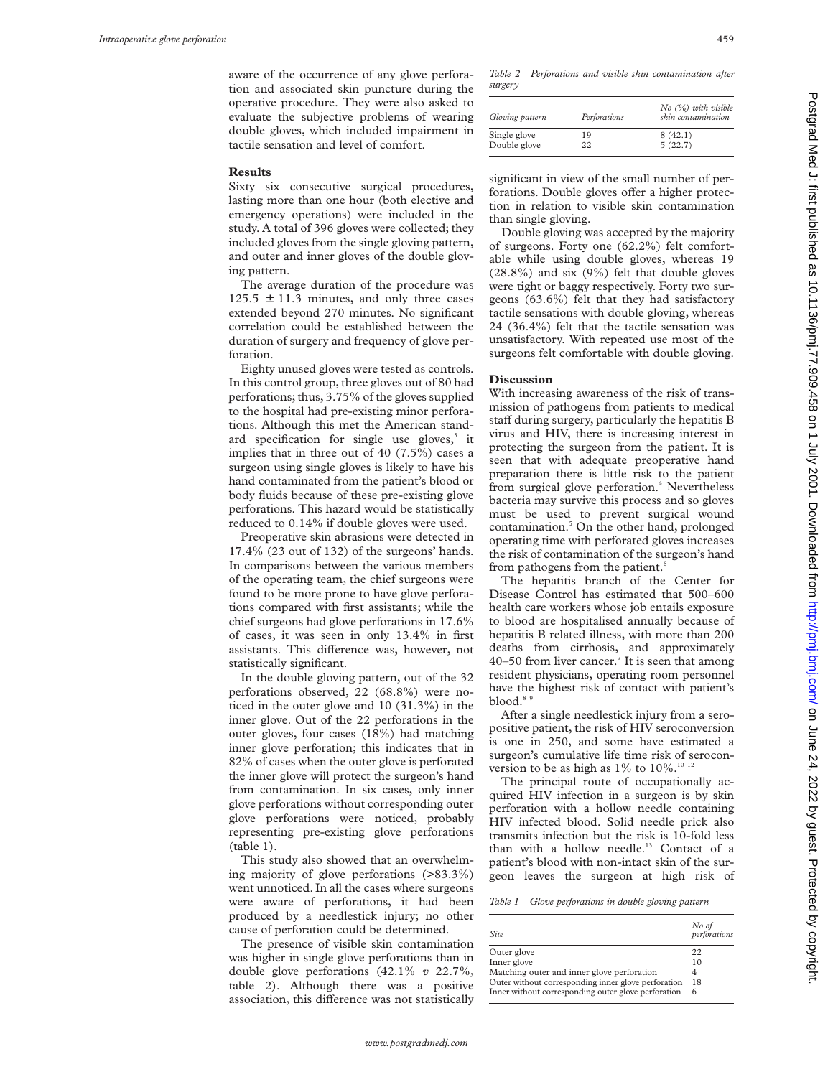aware of the occurrence of any glove perforation and associated skin puncture during the operative procedure. They were also asked to evaluate the subjective problems of wearing double gloves, which included impairment in tactile sensation and level of comfort.

# **Results**

Sixty six consecutive surgical procedures, lasting more than one hour (both elective and emergency operations) were included in the study. A total of 396 gloves were collected; they included gloves from the single gloving pattern, and outer and inner gloves of the double gloving pattern.

The average duration of the procedure was  $125.5 \pm 11.3$  minutes, and only three cases extended beyond 270 minutes. No significant correlation could be established between the duration of surgery and frequency of glove perforation.

Eighty unused gloves were tested as controls. In this control group, three gloves out of 80 had perforations; thus, 3.75% of the gloves supplied to the hospital had pre-existing minor perforations. Although this met the American standard specification for single use gloves,<sup>3</sup> it implies that in three out of 40 (7.5%) cases a surgeon using single gloves is likely to have his hand contaminated from the patient's blood or body fluids because of these pre-existing glove perforations. This hazard would be statistically reduced to 0.14% if double gloves were used.

Preoperative skin abrasions were detected in 17.4% (23 out of 132) of the surgeons' hands. In comparisons between the various members of the operating team, the chief surgeons were found to be more prone to have glove perforations compared with first assistants; while the chief surgeons had glove perforations in 17.6% of cases, it was seen in only 13.4% in first assistants. This difference was, however, not statistically significant.

In the double gloving pattern, out of the 32 perforations observed, 22 (68.8%) were noticed in the outer glove and 10 (31.3%) in the inner glove. Out of the 22 perforations in the outer gloves, four cases (18%) had matching inner glove perforation; this indicates that in 82% of cases when the outer glove is perforated the inner glove will protect the surgeon's hand from contamination. In six cases, only inner glove perforations without corresponding outer glove perforations were noticed, probably representing pre-existing glove perforations (table 1).

This study also showed that an overwhelming majority of glove perforations (>83.3%) went unnoticed. In all the cases where surgeons were aware of perforations, it had been produced by a needlestick injury; no other cause of perforation could be determined.

The presence of visible skin contamination was higher in single glove perforations than in double glove perforations (42.1% *v* 22.7%, table 2). Although there was a positive association, this difference was not statistically *Table 2 Perforations and visible skin contamination after surgery*

| Gloving pattern | Perforations | $No$ (%) with visible<br>skin contamination |
|-----------------|--------------|---------------------------------------------|
| Single glove    | 19           | 8(42.1)                                     |
| Double glove    | 22           | 5(22.7)                                     |

significant in view of the small number of perforations. Double gloves offer a higher protection in relation to visible skin contamination than single gloving.

Double gloving was accepted by the majority of surgeons. Forty one (62.2%) felt comfortable while using double gloves, whereas 19 (28.8%) and six (9%) felt that double gloves were tight or baggy respectively. Forty two surgeons (63.6%) felt that they had satisfactory tactile sensations with double gloving, whereas 24 (36.4%) felt that the tactile sensation was unsatisfactory. With repeated use most of the surgeons felt comfortable with double gloving.

# **Discussion**

With increasing awareness of the risk of transmission of pathogens from patients to medical staff during surgery, particularly the hepatitis B virus and HIV, there is increasing interest in protecting the surgeon from the patient. It is seen that with adequate preoperative hand preparation there is little risk to the patient from surgical glove perforation.<sup>4</sup> Nevertheless bacteria may survive this process and so gloves must be used to prevent surgical wound contamination.5 On the other hand, prolonged operating time with perforated gloves increases the risk of contamination of the surgeon's hand from pathogens from the patient.<sup>6</sup>

The hepatitis branch of the Center for Disease Control has estimated that 500–600 health care workers whose job entails exposure to blood are hospitalised annually because of hepatitis B related illness, with more than 200 deaths from cirrhosis, and approximately 40–50 from liver cancer.<sup>7</sup> It is seen that among resident physicians, operating room personnel have the highest risk of contact with patient's blood.<sup>89</sup>

After a single needlestick injury from a seropositive patient, the risk of HIV seroconversion is one in 250, and some have estimated a surgeon's cumulative life time risk of seroconversion to be as high as  $1\%$  to  $10\%$ .<sup>10–12</sup>

The principal route of occupationally acquired HIV infection in a surgeon is by skin perforation with a hollow needle containing HIV infected blood. Solid needle prick also transmits infection but the risk is 10-fold less than with a hollow needle.<sup>13</sup> Contact of a patient's blood with non-intact skin of the surgeon leaves the surgeon at high risk of

| <b>Site</b>                                         | No of<br>perforations |
|-----------------------------------------------------|-----------------------|
| Outer glove                                         | 22                    |
| Inner glove                                         | 10                    |
| Matching outer and inner glove perforation          | 4                     |
| Outer without corresponding inner glove perforation | 18                    |
| Inner without corresponding outer glove perforation | 6                     |